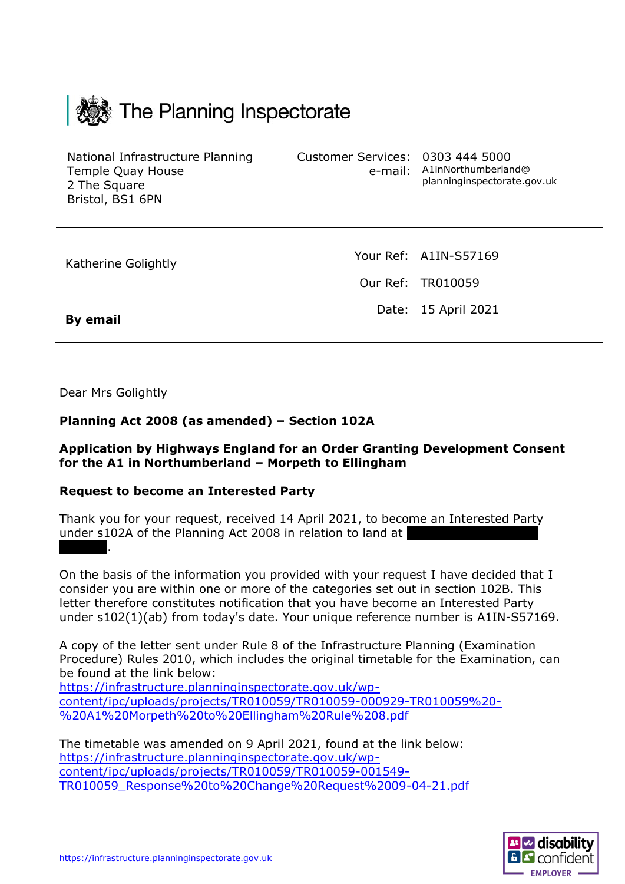

National Infrastructure Planning Temple Quay House 2 The Square Bristol, BS1 6PN

Customer Services: 0303 444 5000

e-mail: A1inNorthumberland@ planninginspectorate.gov.uk

Katherine Golightly

Your Ref: A1IN-S57169 Our Ref: TR010059 Date: 15 April 2021

**By email**

Dear Mrs Golightly

## **Planning Act 2008 (as amended) – Section 102A**

## **Application by Highways England for an Order Granting Development Consent for the A1 in Northumberland – Morpeth to Ellingham**

## **Request to become an Interested Party**

Thank you for your request, received 14 April 2021, to become an Interested Party under s102A of the Planning Act 2008 in relation to land at Morpeth.

On the basis of the information you provided with your request I have decided that I consider you are within one or more of the categories set out in section 102B. This letter therefore constitutes notification that you have become an Interested Party under s102(1)(ab) from today's date. Your unique reference number is A1IN-S57169.

A copy of the letter sent under Rule 8 of the Infrastructure Planning (Examination Procedure) Rules 2010, which includes the original timetable for the Examination, can be found at the link below:

[https://infrastructure.planninginspectorate.gov.uk/wp](https://infrastructure.planninginspectorate.gov.uk/wp-content/ipc/uploads/projects/TR010059/TR010059-000929-TR010059%20-%20A1%20Morpeth%20to%20Ellingham%20Rule%208.pdf)[content/ipc/uploads/projects/TR010059/TR010059-000929-TR010059%20-](https://infrastructure.planninginspectorate.gov.uk/wp-content/ipc/uploads/projects/TR010059/TR010059-000929-TR010059%20-%20A1%20Morpeth%20to%20Ellingham%20Rule%208.pdf) [%20A1%20Morpeth%20to%20Ellingham%20Rule%208.pdf](https://infrastructure.planninginspectorate.gov.uk/wp-content/ipc/uploads/projects/TR010059/TR010059-000929-TR010059%20-%20A1%20Morpeth%20to%20Ellingham%20Rule%208.pdf)

The timetable was amended on 9 April 2021, found at the link below: [https://infrastructure.planninginspectorate.gov.uk/wp](https://infrastructure.planninginspectorate.gov.uk/wp-content/ipc/uploads/projects/TR010059/TR010059-001549-TR010059_Response%20to%20Change%20Request%2009-04-21.pdf)[content/ipc/uploads/projects/TR010059/TR010059-001549-](https://infrastructure.planninginspectorate.gov.uk/wp-content/ipc/uploads/projects/TR010059/TR010059-001549-TR010059_Response%20to%20Change%20Request%2009-04-21.pdf) [TR010059\\_Response%20to%20Change%20Request%2009-04-21.pdf](https://infrastructure.planninginspectorate.gov.uk/wp-content/ipc/uploads/projects/TR010059/TR010059-001549-TR010059_Response%20to%20Change%20Request%2009-04-21.pdf)